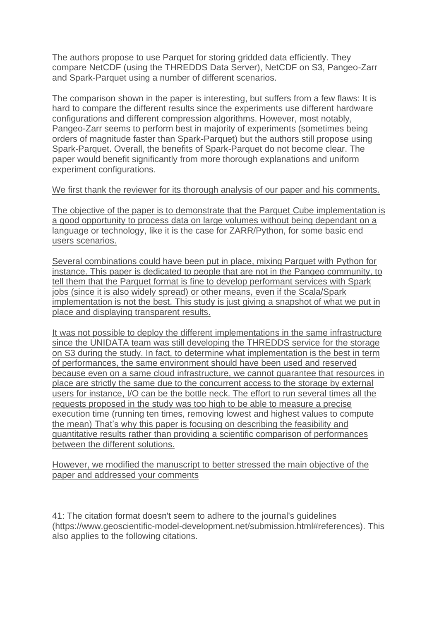The authors propose to use Parquet for storing gridded data efficiently. They compare NetCDF (using the THREDDS Data Server), NetCDF on S3, Pangeo-Zarr and Spark-Parquet using a number of different scenarios.

The comparison shown in the paper is interesting, but suffers from a few flaws: It is hard to compare the different results since the experiments use different hardware configurations and different compression algorithms. However, most notably, Pangeo-Zarr seems to perform best in majority of experiments (sometimes being orders of magnitude faster than Spark-Parquet) but the authors still propose using Spark-Parquet. Overall, the benefits of Spark-Parquet do not become clear. The paper would benefit significantly from more thorough explanations and uniform experiment configurations.

We first thank the reviewer for its thorough analysis of our paper and his comments.

The objective of the paper is to demonstrate that the Parquet Cube implementation is a good opportunity to process data on large volumes without being dependant on a language or technology, like it is the case for ZARR/Python, for some basic end users scenarios.

Several combinations could have been put in place, mixing Parquet with Python for instance. This paper is dedicated to people that are not in the Pangeo community, to tell them that the Parquet format is fine to develop performant services with Spark jobs (since it is also widely spread) or other means, even if the Scala/Spark implementation is not the best. This study is just giving a snapshot of what we put in place and displaying transparent results.

It was not possible to deploy the different implementations in the same infrastructure since the UNIDATA team was still developing the THREDDS service for the storage on S3 during the study. In fact, to determine what implementation is the best in term of performances, the same environment should have been used and reserved because even on a same cloud infrastructure, we cannot guarantee that resources in place are strictly the same due to the concurrent access to the storage by external users for instance, I/O can be the bottle neck. The effort to run several times all the requests proposed in the study was too high to be able to measure a precise execution time (running ten times, removing lowest and highest values to compute the mean) That's why this paper is focusing on describing the feasibility and quantitative results rather than providing a scientific comparison of performances between the different solutions.

However, we modified the manuscript to better stressed the main objective of the paper and addressed your comments

41: The citation format doesn't seem to adhere to the journal's guidelines (https://www.geoscientific-model-development.net/submission.html#references). This also applies to the following citations.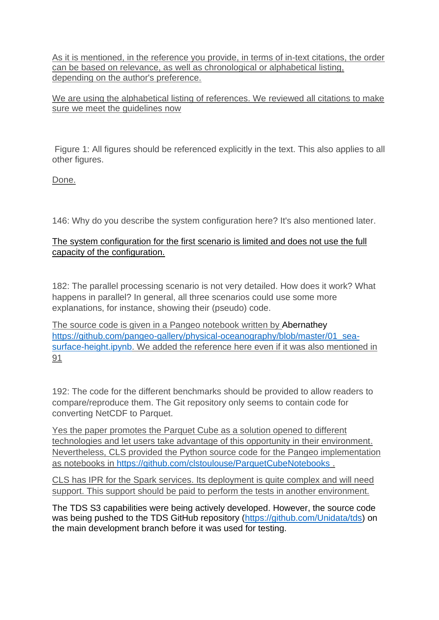As it is mentioned, in the reference you provide, in terms of in-text citations, the order can be based on relevance, as well as chronological or alphabetical listing, depending on the author's preference.

We are using the alphabetical listing of references. We reviewed all citations to make sure we meet the guidelines now

Figure 1: All figures should be referenced explicitly in the text. This also applies to all other figures.

Done.

146: Why do you describe the system configuration here? It's also mentioned later.

# The system configuration for the first scenario is limited and does not use the full capacity of the configuration.

182: The parallel processing scenario is not very detailed. How does it work? What happens in parallel? In general, all three scenarios could use some more explanations, for instance, showing their (pseudo) code.

The source code is given in a Pangeo notebook written by Abernathey [https://github.com/pangeo-gallery/physical-oceanography/blob/master/01\\_sea](https://github.com/pangeo-gallery/physical-oceanography/blob/master/01_sea-surface-height.ipynb)[surface-height.ipynb.](https://github.com/pangeo-gallery/physical-oceanography/blob/master/01_sea-surface-height.ipynb) We added the reference here even if it was also mentioned in 91

192: The code for the different benchmarks should be provided to allow readers to compare/reproduce them. The Git repository only seems to contain code for converting NetCDF to Parquet.

Yes the paper promotes the Parquet Cube as a solution opened to different technologies and let users take advantage of this opportunity in their environment. Nevertheless, CLS provided the Python source code for the Pangeo implementation as notebooks in<https://github.com/clstoulouse/ParquetCubeNotebooks> .

CLS has IPR for the Spark services. Its deployment is quite complex and will need support. This support should be paid to perform the tests in another environment.

The TDS S3 capabilities were being actively developed. However, the source code was being pushed to the TDS GitHub repository [\(https://github.com/Unidata/tds\)](https://m365.eu.vadesecure.com/safeproxy/v4?f=11-BScV4ys0FNfQd-_bJxm0clsjNUQlBvZ8YIfqTLAk&i=aRR4ILxBN-m33u8N02IXguXcbv4tUS9GqoCauauJ8iH_skeGDj3x0Ln2PMA6GhJBe75ft70xY_ghENGltlKJQA&k=2QST&r=hiUpgEsdvXXTVfqVgHFAOSpaOgCGWvZ_KyAOoej7v5wHY8KxD1uSsfp9Hd9SXL2j&s=a17c6e342fb9e94d2052bbe02f6fd7da3ff5af180fac66566fd639585cf81596&u=https%3A%2F%2Fgithub.com%2FUnidata%2Ftds) on the main development branch before it was used for testing.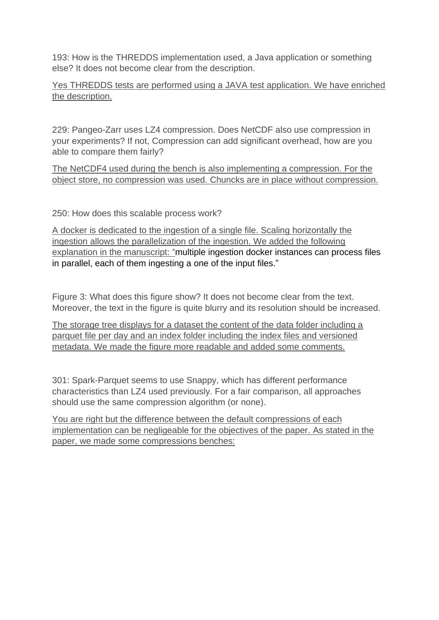193: How is the THREDDS implementation used, a Java application or something else? It does not become clear from the description.

Yes THREDDS tests are performed using a JAVA test application. We have enriched the description.

229: Pangeo-Zarr uses LZ4 compression. Does NetCDF also use compression in your experiments? If not, Compression can add significant overhead, how are you able to compare them fairly?

The NetCDF4 used during the bench is also implementing a compression. For the object store, no compression was used. Chuncks are in place without compression.

250: How does this scalable process work?

A docker is dedicated to the ingestion of a single file. Scaling horizontally the ingestion allows the parallelization of the ingestion. We added the following explanation in the manuscript: "multiple ingestion docker instances can process files in parallel, each of them ingesting a one of the input files."

Figure 3: What does this figure show? It does not become clear from the text. Moreover, the text in the figure is quite blurry and its resolution should be increased.

The storage tree displays for a dataset the content of the data folder including a parquet file per day and an index folder including the index files and versioned metadata. We made the figure more readable and added some comments.

301: Spark-Parquet seems to use Snappy, which has different performance characteristics than LZ4 used previously. For a fair comparison, all approaches should use the same compression algorithm (or none).

You are right but the difference between the default compressions of each implementation can be negligeable for the objectives of the paper. As stated in the paper, we made some compressions benches: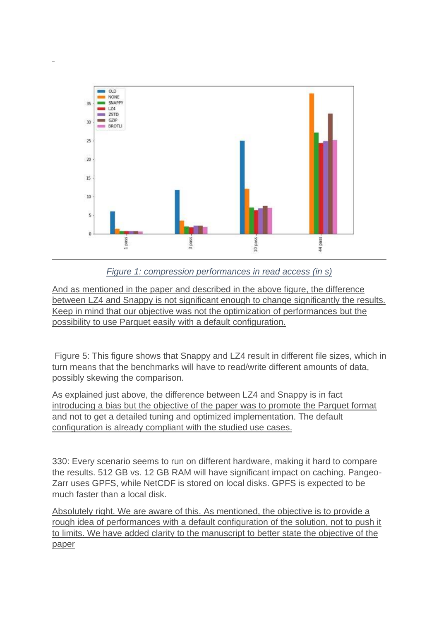

*Figure 1: compression performances in read access (in s)*

And as mentioned in the paper and described in the above figure, the difference between LZ4 and Snappy is not significant enough to change significantly the results. Keep in mind that our objective was not the optimization of performances but the possibility to use Parquet easily with a default configuration.

Figure 5: This figure shows that Snappy and LZ4 result in different file sizes, which in turn means that the benchmarks will have to read/write different amounts of data, possibly skewing the comparison.

As explained just above, the difference between LZ4 and Snappy is in fact introducing a bias but the objective of the paper was to promote the Parquet format and not to get a detailed tuning and optimized implementation. The default configuration is already compliant with the studied use cases.

330: Every scenario seems to run on different hardware, making it hard to compare the results. 512 GB vs. 12 GB RAM will have significant impact on caching. Pangeo-Zarr uses GPFS, while NetCDF is stored on local disks. GPFS is expected to be much faster than a local disk.

Absolutely right. We are aware of this. As mentioned, the objective is to provide a rough idea of performances with a default configuration of the solution, not to push it to limits. We have added clarity to the manuscript to better state the objective of the paper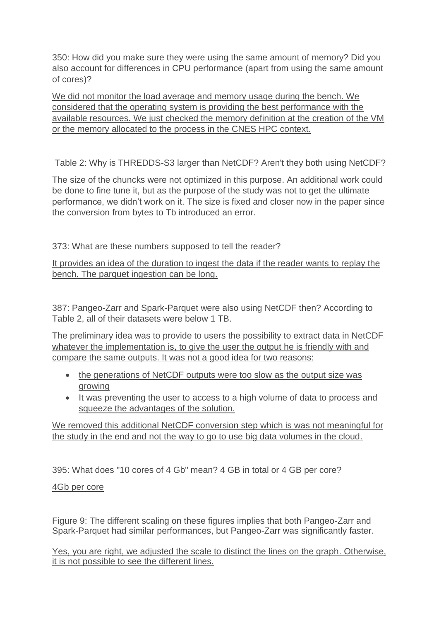350: How did you make sure they were using the same amount of memory? Did you also account for differences in CPU performance (apart from using the same amount of cores)?

We did not monitor the load average and memory usage during the bench. We considered that the operating system is providing the best performance with the available resources. We just checked the memory definition at the creation of the VM or the memory allocated to the process in the CNES HPC context.

Table 2: Why is THREDDS-S3 larger than NetCDF? Aren't they both using NetCDF?

The size of the chuncks were not optimized in this purpose. An additional work could be done to fine tune it, but as the purpose of the study was not to get the ultimate performance, we didn't work on it. The size is fixed and closer now in the paper since the conversion from bytes to Tb introduced an error.

373: What are these numbers supposed to tell the reader?

It provides an idea of the duration to ingest the data if the reader wants to replay the bench. The parquet ingestion can be long.

387: Pangeo-Zarr and Spark-Parquet were also using NetCDF then? According to Table 2, all of their datasets were below 1 TB.

The preliminary idea was to provide to users the possibility to extract data in NetCDF whatever the implementation is, to give the user the output he is friendly with and compare the same outputs. It was not a good idea for two reasons:

- the generations of NetCDF outputs were too slow as the output size was growing
- It was preventing the user to access to a high volume of data to process and squeeze the advantages of the solution.

We removed this additional NetCDF conversion step which is was not meaningful for the study in the end and not the way to go to use big data volumes in the cloud.

395: What does "10 cores of 4 Gb" mean? 4 GB in total or 4 GB per core?

4Gb per core

Figure 9: The different scaling on these figures implies that both Pangeo-Zarr and Spark-Parquet had similar performances, but Pangeo-Zarr was significantly faster.

Yes, you are right, we adjusted the scale to distinct the lines on the graph. Otherwise, it is not possible to see the different lines.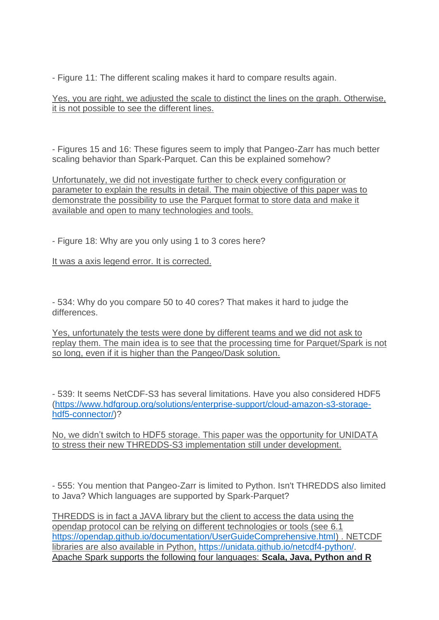- Figure 11: The different scaling makes it hard to compare results again.

Yes, you are right, we adjusted the scale to distinct the lines on the graph. Otherwise, it is not possible to see the different lines.

- Figures 15 and 16: These figures seem to imply that Pangeo-Zarr has much better scaling behavior than Spark-Parquet. Can this be explained somehow?

Unfortunately, we did not investigate further to check every configuration or parameter to explain the results in detail. The main objective of this paper was to demonstrate the possibility to use the Parquet format to store data and make it available and open to many technologies and tools.

- Figure 18: Why are you only using 1 to 3 cores here?

It was a axis legend error. It is corrected.

- 534: Why do you compare 50 to 40 cores? That makes it hard to judge the differences.

Yes, unfortunately the tests were done by different teams and we did not ask to replay them. The main idea is to see that the processing time for Parquet/Spark is not so long, even if it is higher than the Pangeo/Dask solution.

- 539: It seems NetCDF-S3 has several limitations. Have you also considered HDF5 [\(https://www.hdfgroup.org/solutions/enterprise-support/cloud-amazon-s3-storage](https://www.hdfgroup.org/solutions/enterprise-support/cloud-amazon-s3-storage-hdf5-connector/)[hdf5-connector/\)](https://www.hdfgroup.org/solutions/enterprise-support/cloud-amazon-s3-storage-hdf5-connector/)?

No, we didn't switch to HDF5 storage. This paper was the opportunity for UNIDATA to stress their new THREDDS-S3 implementation still under development.

- 555: You mention that Pangeo-Zarr is limited to Python. Isn't THREDDS also limited to Java? Which languages are supported by Spark-Parquet?

THREDDS is in fact a JAVA library but the client to access the data using the opendap protocol can be relying on different technologies or tools (see 6.1 [https://opendap.github.io/documentation/UserGuideComprehensive.html\)](https://opendap.github.io/documentation/UserGuideComprehensive.html) . NETCDF libraries are also available in Python, [https://unidata.github.io/netcdf4-python/.](https://unidata.github.io/netcdf4-python/) Apache Spark supports the following four languages: **Scala, Java, Python and R**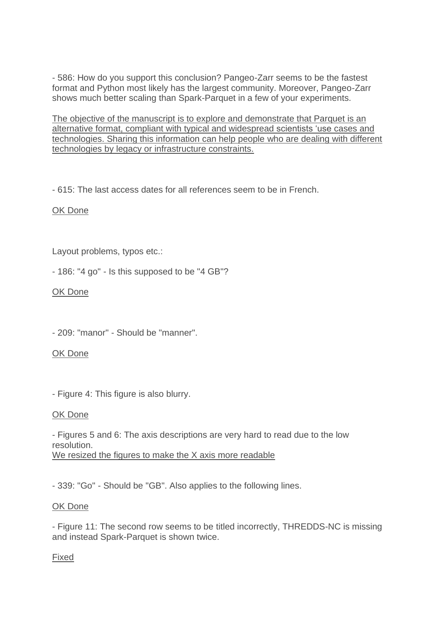- 586: How do you support this conclusion? Pangeo-Zarr seems to be the fastest format and Python most likely has the largest community. Moreover, Pangeo-Zarr shows much better scaling than Spark-Parquet in a few of your experiments.

The objective of the manuscript is to explore and demonstrate that Parquet is an alternative format, compliant with typical and widespread scientists 'use cases and technologies. Sharing this information can help people who are dealing with different technologies by legacy or infrastructure constraints.

- 615: The last access dates for all references seem to be in French.

## OK Done

Layout problems, typos etc.:

- 186: "4 go" - Is this supposed to be "4 GB"?

### OK Done

- 209: "manor" - Should be "manner".

### OK Done

- Figure 4: This figure is also blurry.

### OK Done

- Figures 5 and 6: The axis descriptions are very hard to read due to the low resolution. We resized the figures to make the X axis more readable

- 339: "Go" - Should be "GB". Also applies to the following lines.

### OK Done

- Figure 11: The second row seems to be titled incorrectly, THREDDS-NC is missing and instead Spark-Parquet is shown twice.

### Fixed